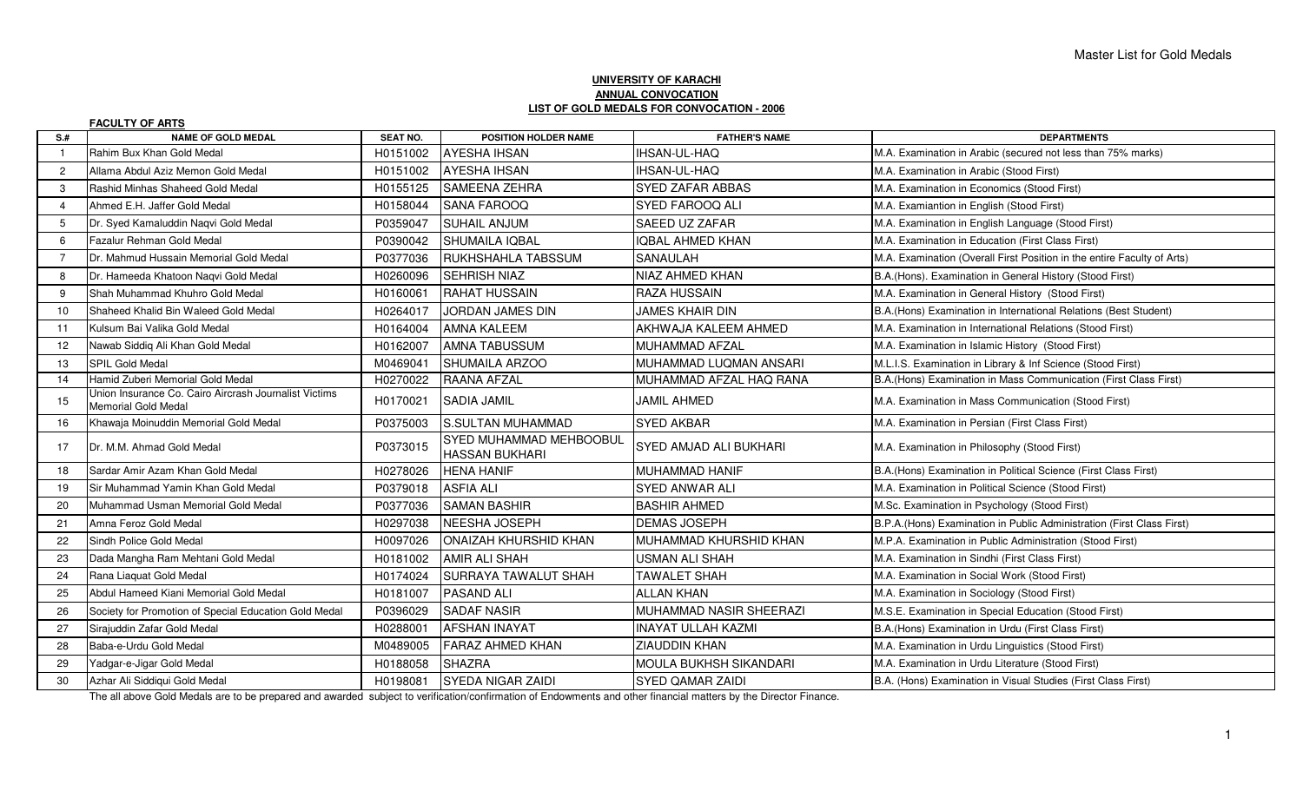## **UNIVERSITY OF KARACHI ANNUAL CONVOCATIONLIST OF GOLD MEDALS FOR CONVOCATION - 2006**

|                | <b>FACULTY OF ARTS</b>                                                              |                 |                                                  |                           |                                                                         |
|----------------|-------------------------------------------------------------------------------------|-----------------|--------------------------------------------------|---------------------------|-------------------------------------------------------------------------|
| $S+$           | <b>NAME OF GOLD MEDAL</b>                                                           | <b>SEAT NO.</b> | <b>POSITION HOLDER NAME</b>                      | <b>FATHER'S NAME</b>      | <b>DEPARTMENTS</b>                                                      |
|                | Rahim Bux Khan Gold Medal                                                           | H0151002        | <b>AYESHA IHSAN</b>                              | <b>IHSAN-UL-HAQ</b>       | M.A. Examination in Arabic (secured not less than 75% marks)            |
| $\overline{2}$ | Allama Abdul Aziz Memon Gold Medal                                                  | H0151002        | <b>AYESHA IHSAN</b>                              | IHSAN-UL-HAQ              | M.A. Examination in Arabic (Stood First)                                |
| 3              | Rashid Minhas Shaheed Gold Medal                                                    | H0155125        | SAMEENA ZEHRA                                    | <b>SYED ZAFAR ABBAS</b>   | M.A. Examination in Economics (Stood First)                             |
| 4              | Ahmed E.H. Jaffer Gold Medal                                                        | H0158044        | <b>SANA FAROOQ</b>                               | SYED FAROOQ ALI           | M.A. Examiantion in English (Stood First)                               |
| 5              | Dr. Syed Kamaluddin Naqvi Gold Medal                                                | P0359047        | <b>SUHAIL ANJUM</b>                              | SAEED UZ ZAFAR            | M.A. Examination in English Language (Stood First)                      |
| 6              | Fazalur Rehman Gold Medal                                                           | P0390042        | ISHUMAILA IQBAL                                  | <b>IOBAL AHMED KHAN</b>   | M.A. Examination in Education (First Class First)                       |
| $\overline{7}$ | Dr. Mahmud Hussain Memorial Gold Medal                                              | P0377036        | RUKHSHAHLA TABSSUM                               | <b>SANAULAH</b>           | M.A. Examination (Overall First Position in the entire Faculty of Arts) |
| 8              | Dr. Hameeda Khatoon Nagvi Gold Medal                                                | H0260096        | <b>SEHRISH NIAZ</b>                              | NIAZ AHMED KHAN           | B.A.(Hons). Examination in General History (Stood First)                |
| 9              | Shah Muhammad Khuhro Gold Medal                                                     | H0160061        | <b>RAHAT HUSSAIN</b>                             | <b>RAZA HUSSAIN</b>       | M.A. Examination in General History (Stood First)                       |
| 10             | Shaheed Khalid Bin Waleed Gold Medal                                                | H0264017        | JORDAN JAMES DIN                                 | JAMES KHAIR DIN           | B.A. (Hons) Examination in International Relations (Best Student)       |
| 11             | Kulsum Bai Valika Gold Medal                                                        | H0164004        | <b>AMNA KALEEM</b>                               | AKHWAJA KALEEM AHMED      | M.A. Examination in International Relations (Stood First)               |
| 12             | Nawab Siddiq Ali Khan Gold Medal                                                    | H0162007        | <b>AMNA TABUSSUM</b>                             | MUHAMMAD AFZAL            | M.A. Examination in Islamic History (Stood First)                       |
| 13             | <b>SPIL Gold Medal</b>                                                              | M0469041        | <b>SHUMAILA ARZOO</b>                            | MUHAMMAD LUQMAN ANSARI    | M.L.I.S. Examination in Library & Inf Science (Stood First)             |
| 14             | Hamid Zuberi Memorial Gold Medal                                                    | H0270022        | <b>RAANA AFZAL</b>                               | MUHAMMAD AFZAL HAQ RANA   | B.A.(Hons) Examination in Mass Communication (First Class First)        |
| 15             | Union Insurance Co. Cairo Aircrash Journalist Victims<br><b>Memorial Gold Medal</b> | H0170021        | <b>SADIA JAMIL</b>                               | JAMIL AHMED               | M.A. Examination in Mass Communication (Stood First)                    |
| 16             | Khawaja Moinuddin Memorial Gold Medal                                               | P0375003        | S.SULTAN MUHAMMAD                                | <b>SYED AKBAR</b>         | M.A. Examination in Persian (First Class First)                         |
| 17             | Dr. M.M. Ahmad Gold Medal                                                           | P0373015        | SYED MUHAMMAD MEHBOOBUL<br><b>HASSAN BUKHARI</b> | SYED AMJAD ALI BUKHARI    | M.A. Examination in Philosophy (Stood First)                            |
| 18             | Sardar Amir Azam Khan Gold Medal                                                    | H0278026        | <b>HENA HANIF</b>                                | <b>MUHAMMAD HANIF</b>     | B.A. (Hons) Examination in Political Science (First Class First)        |
| 19             | Sir Muhammad Yamin Khan Gold Medal                                                  | P0379018        | <b>ASFIA ALI</b>                                 | <b>SYED ANWAR ALI</b>     | M.A. Examination in Political Science (Stood First)                     |
| 20             | Muhammad Usman Memorial Gold Medal                                                  | P0377036        | <b>SAMAN BASHIR</b>                              | <b>BASHIR AHMED</b>       | M.Sc. Examination in Psychology (Stood First)                           |
| 21             | Amna Feroz Gold Medal                                                               | H0297038        | <b>NEESHA JOSEPH</b>                             | <b>DEMAS JOSEPH</b>       | B.P.A. (Hons) Examination in Public Administration (First Class First)  |
| 22             | Sindh Police Gold Medal                                                             | H0097026        | ONAIZAH KHURSHID KHAN                            | MUHAMMAD KHURSHID KHAN    | M.P.A. Examination in Public Administration (Stood First)               |
| 23             | Dada Mangha Ram Mehtani Gold Medal                                                  | H0181002        | <b>AMIR ALI SHAH</b>                             | <b>USMAN ALI SHAH</b>     | M.A. Examination in Sindhi (First Class First)                          |
| 24             | Rana Liaquat Gold Medal                                                             | H0174024        | <b>SURRAYA TAWALUT SHAH</b>                      | <b>TAWALET SHAH</b>       | M.A. Examination in Social Work (Stood First)                           |
| 25             | Abdul Hameed Kiani Memorial Gold Medal                                              | H0181007        | <b>PASAND ALI</b>                                | <b>ALLAN KHAN</b>         | M.A. Examination in Sociology (Stood First)                             |
| 26             | Society for Promotion of Special Education Gold Medal                               | P0396029        | <b>SADAF NASIR</b>                               | MUHAMMAD NASIR SHEERAZI   | M.S.E. Examination in Special Education (Stood First)                   |
| 27             | Sirajuddin Zafar Gold Medal                                                         | H0288001        | <b>AFSHAN INAYAT</b>                             | <b>INAYAT ULLAH KAZMI</b> | B.A.(Hons) Examination in Urdu (First Class First)                      |
| 28             | Baba-e-Urdu Gold Medal                                                              | M0489005        | <b>FARAZ AHMED KHAN</b>                          | <b>ZIAUDDIN KHAN</b>      | M.A. Examination in Urdu Linguistics (Stood First)                      |
| 29             | Yadgar-e-Jigar Gold Medal                                                           | H0188058        | <b>SHAZRA</b>                                    | MOULA BUKHSH SIKANDARI    | M.A. Examination in Urdu Literature (Stood First)                       |
| 30             | Azhar Ali Siddiqui Gold Medal                                                       | H0198081        | <b>SYEDA NIGAR ZAIDI</b>                         | <b>SYED QAMAR ZAIDI</b>   | B.A. (Hons) Examination in Visual Studies (First Class First)           |

The all above Gold Medals are to be prepared and awarded subject to verification/confirmation of Endowments and other financial matters by the Director Finance.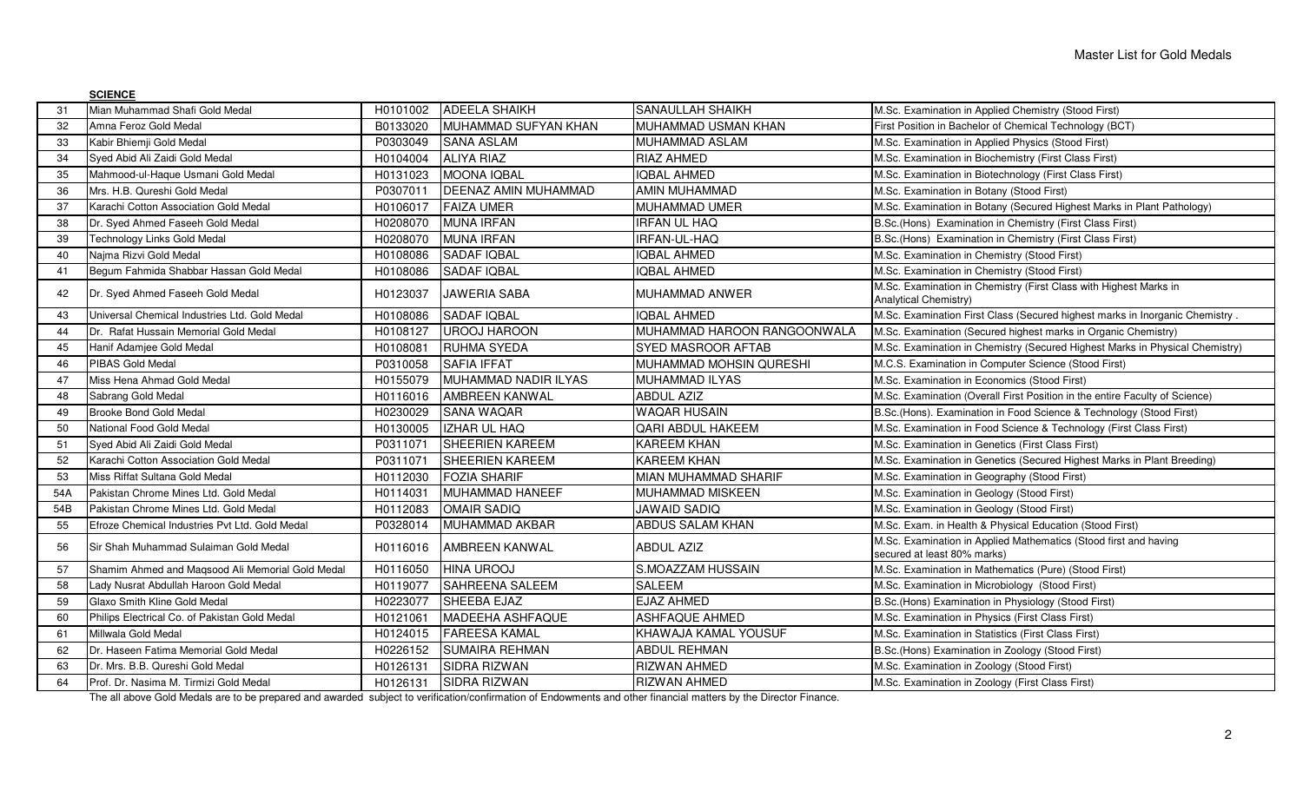|     | <b>SCIENCE</b>                                                                                                                                                   |          |                             |                             |                                                                                                 |
|-----|------------------------------------------------------------------------------------------------------------------------------------------------------------------|----------|-----------------------------|-----------------------------|-------------------------------------------------------------------------------------------------|
| 31  | Mian Muhammad Shafi Gold Medal                                                                                                                                   | H0101002 | <b>ADEELA SHAIKH</b>        | <b>SANAULLAH SHAIKH</b>     | M.Sc. Examination in Applied Chemistry (Stood First)                                            |
| 32  | Amna Feroz Gold Medal                                                                                                                                            | B0133020 | MUHAMMAD SUFYAN KHAN        | MUHAMMAD USMAN KHAN         | First Position in Bachelor of Chemical Technology (BCT)                                         |
| 33  | Kabir Bhiemji Gold Medal                                                                                                                                         | P0303049 | <b>SANA ASLAM</b>           | MUHAMMAD ASLAM              | M.Sc. Examination in Applied Physics (Stood First)                                              |
| 34  | Syed Abid Ali Zaidi Gold Medal                                                                                                                                   | H0104004 | <b>ALIYA RIAZ</b>           | RIAZ AHMED                  | M.Sc. Examination in Biochemistry (First Class First)                                           |
| 35  | Mahmood-ul-Haque Usmani Gold Medal                                                                                                                               | H0131023 | <b>MOONA IQBAL</b>          | <b>IQBAL AHMED</b>          | M.Sc. Examination in Biotechnology (First Class First)                                          |
| 36  | Mrs. H.B. Qureshi Gold Medal                                                                                                                                     | P0307011 | <b>DEENAZ AMIN MUHAMMAD</b> | AMIN MUHAMMAD               | M.Sc. Examination in Botany (Stood First)                                                       |
| 37  | Karachi Cotton Association Gold Medal                                                                                                                            | H0106017 | <b>FAIZA UMER</b>           | MUHAMMAD UMER               | M.Sc. Examination in Botany (Secured Highest Marks in Plant Pathology)                          |
| 38  | Dr. Syed Ahmed Faseeh Gold Medal                                                                                                                                 | H0208070 | <b>MUNA IRFAN</b>           | IRFAN UL HAQ                | B.Sc.(Hons) Examination in Chemistry (First Class First)                                        |
| 39  | Technology Links Gold Medal                                                                                                                                      | H0208070 | <b>MUNA IRFAN</b>           | <b>IRFAN-UL-HAQ</b>         | B.Sc.(Hons) Examination in Chemistry (First Class First)                                        |
| 40  | Naima Rizvi Gold Medal                                                                                                                                           | H0108086 | <b>SADAF IQBAL</b>          | QBAL AHMED                  | M.Sc. Examination in Chemistry (Stood First)                                                    |
| 41  | Begum Fahmida Shabbar Hassan Gold Medal                                                                                                                          | H0108086 | <b>SADAF IQBAL</b>          | <b>QBAL AHMED</b>           | M.Sc. Examination in Chemistry (Stood First)                                                    |
| 42  | Dr. Syed Ahmed Faseeh Gold Medal                                                                                                                                 | H0123037 | <b>JAWERIA SABA</b>         | MUHAMMAD ANWER              | M.Sc. Examination in Chemistry (First Class with Highest Marks in<br>Analytical Chemistry)      |
| 43  | Universal Chemical Industries Ltd. Gold Medal                                                                                                                    | H0108086 | <b>SADAF IQBAL</b>          | <b>QBAL AHMED</b>           | M.Sc. Examination First Class (Secured highest marks in Inorganic Chemistry                     |
| 44  | Dr. Rafat Hussain Memorial Gold Medal                                                                                                                            | H0108127 | <b>UROOJ HAROON</b>         | MUHAMMAD HAROON RANGOONWALA | M.Sc. Examination (Secured highest marks in Organic Chemistry)                                  |
| 45  | Hanif Adamjee Gold Medal                                                                                                                                         | H0108081 | <b>RUHMA SYEDA</b>          | <b>SYED MASROOR AFTAB</b>   | M.Sc. Examination in Chemistry (Secured Highest Marks in Physical Chemistry)                    |
| 46  | PIBAS Gold Medal                                                                                                                                                 | P0310058 | <b>SAFIA IFFAT</b>          | MUHAMMAD MOHSIN QURESHI     | M.C.S. Examination in Computer Science (Stood First)                                            |
| 47  | Miss Hena Ahmad Gold Medal                                                                                                                                       | H0155079 | MUHAMMAD NADIR ILYAS        | MUHAMMAD ILYAS              | M.Sc. Examination in Economics (Stood First)                                                    |
| 48  | Sabrang Gold Medal                                                                                                                                               | H0116016 | <b>AMBREEN KANWAL</b>       | <b>ABDUL AZIZ</b>           | M.Sc. Examination (Overall First Position in the entire Faculty of Science)                     |
| 49  | <b>Brooke Bond Gold Medal</b>                                                                                                                                    | H0230029 | <b>SANA WAQAR</b>           | <b>WAQAR HUSAIN</b>         | B.Sc.(Hons). Examination in Food Science & Technology (Stood First)                             |
| 50  | National Food Gold Medal                                                                                                                                         | H0130005 | <b>IZHAR UL HAQ</b>         | <b>QARI ABDUL HAKEEM</b>    | M.Sc. Examination in Food Science & Technology (First Class First)                              |
| 51  | Syed Abid Ali Zaidi Gold Medal                                                                                                                                   | P0311071 | <b>SHEERIEN KAREEM</b>      | KAREEM KHAN                 | M.Sc. Examination in Genetics (First Class First)                                               |
| 52  | Karachi Cotton Association Gold Medal                                                                                                                            | P0311071 | <b>SHEERIEN KAREEM</b>      | KAREEM KHAN                 | M.Sc. Examination in Genetics (Secured Highest Marks in Plant Breeding)                         |
| 53  | Miss Riffat Sultana Gold Medal                                                                                                                                   | H0112030 | <b>FOZIA SHARIF</b>         | MIAN MUHAMMAD SHARIF        | M.Sc. Examination in Geography (Stood First)                                                    |
| 54A | Pakistan Chrome Mines Ltd. Gold Medal                                                                                                                            | H0114031 | MUHAMMAD HANEEF             | MUHAMMAD MISKEEN            | M.Sc. Examination in Geology (Stood First)                                                      |
| 54B | Pakistan Chrome Mines Ltd. Gold Medal                                                                                                                            | H0112083 | <b>OMAIR SADIQ</b>          | JAWAID SADIQ                | M.Sc. Examination in Geology (Stood First)                                                      |
| 55  | Efroze Chemical Industries Pvt Ltd. Gold Medal                                                                                                                   | P0328014 | <b>MUHAMMAD AKBAR</b>       | ABDUS SALAM KHAN            | M.Sc. Exam. in Health & Physical Education (Stood First)                                        |
| 56  | Sir Shah Muhammad Sulaiman Gold Medal                                                                                                                            | H0116016 | <b>AMBREEN KANWAL</b>       | <b>ABDUL AZIZ</b>           | M.Sc. Examination in Applied Mathematics (Stood first and having<br>secured at least 80% marks) |
| 57  | Shamim Ahmed and Magsood Ali Memorial Gold Medal                                                                                                                 | H0116050 | <b>HINA UROOJ</b>           | S.MOAZZAM HUSSAIN           | M.Sc. Examination in Mathematics (Pure) (Stood First)                                           |
| 58  | Lady Nusrat Abdullah Haroon Gold Medal                                                                                                                           | H0119077 | <b>SAHREENA SALEEM</b>      | <b>SALEEM</b>               | M.Sc. Examination in Microbiology (Stood First)                                                 |
| 59  | Glaxo Smith Kline Gold Medal                                                                                                                                     | H0223077 | <b>SHEEBA EJAZ</b>          | EJAZ AHMED                  | B.Sc.(Hons) Examination in Physiology (Stood First)                                             |
| 60  | Philips Electrical Co. of Pakistan Gold Medal                                                                                                                    | H0121061 | <b>MADEEHA ASHFAQUE</b>     | <b>ASHFAQUE AHMED</b>       | M.Sc. Examination in Physics (First Class First)                                                |
| 61  | Millwala Gold Medal                                                                                                                                              | H0124015 | <b>FAREESA KAMAL</b>        | KHAWAJA KAMAL YOUSUF        | M.Sc. Examination in Statistics (First Class First)                                             |
| 62  | Dr. Haseen Fatima Memorial Gold Medal                                                                                                                            | H0226152 | <b>SUMAIRA REHMAN</b>       | <b>ABDUL REHMAN</b>         | B.Sc.(Hons) Examination in Zoology (Stood First)                                                |
| 63  | Dr. Mrs. B.B. Qureshi Gold Medal                                                                                                                                 | H0126131 | SIDRA RIZWAN                | RIZWAN AHMED                | M.Sc. Examination in Zoology (Stood First)                                                      |
| 64  | Prof. Dr. Nasima M. Tirmizi Gold Medal                                                                                                                           | H0126131 | SIDRA RIZWAN                | RIZWAN AHMED                | M.Sc. Examination in Zoology (First Class First)                                                |
|     | The all above Gold Medals are to be prepared and awarded subject to verification/confirmation of Endowments and other financial matters by the Director Finance. |          |                             |                             |                                                                                                 |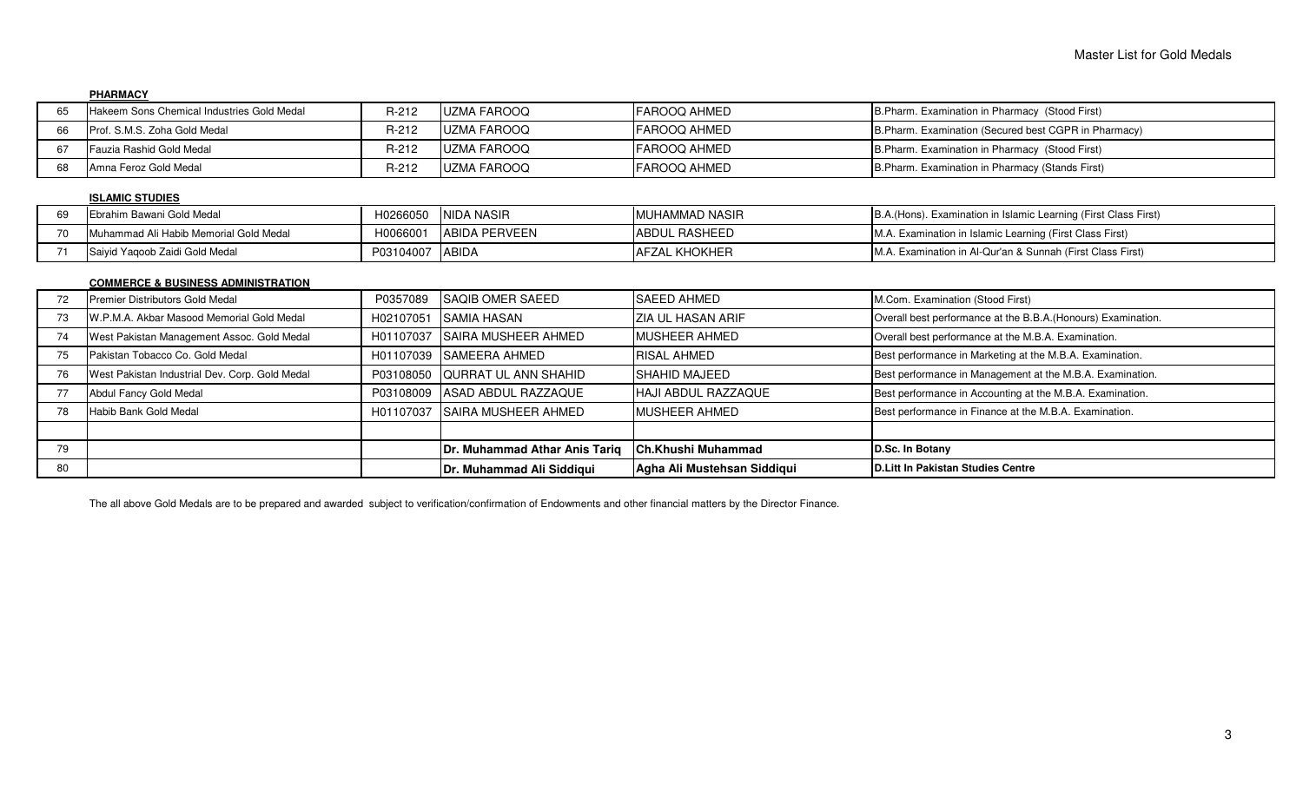## **PHARMACY**

| Hakeem Sons Chemical Industries Gold Medal | R-212   | <b>I</b> UZMA FAROOQ | IFAROOQ AHMED | B.Pharm. Examination in Pharmacy (Stood First)       |
|--------------------------------------------|---------|----------------------|---------------|------------------------------------------------------|
| Prof. S.M.S. Zoha Gold Medal               | $R-212$ | <b>I</b> UZMA FAROOQ | IFAROOQ AHMED | B.Pharm. Examination (Secured best CGPR in Pharmacy) |
| Fauzia Rashid Gold Medal                   | $R-212$ | <b>IUZMA FAROOQ</b>  | IFAROOQ AHMED | B.Pharm. Examination in Pharmacy (Stood First)       |
| Amna Feroz Gold Medal                      | $R-212$ | <b>I</b> UZMA FAROOQ | IFAROOQ AHMED | B. Pharm. Examination in Pharmacy (Stands First)     |

## **ISLAMIC STUDIES**

| Ebrahim Bawani Gold Medal              | H0266050  | INIDA NASIR          | IMUHAMMAD NASIR       | B.A. (Hons). Examination in Islamic Learning (First Class First) |
|----------------------------------------|-----------|----------------------|-----------------------|------------------------------------------------------------------|
| Muhammad Ali Habib Memorial Gold Medal | H006600   | <b>ABIDA PERVEEN</b> | <b>JABDUL RASHEED</b> | M.A. Examination in Islamic Learning (First Class First)         |
| Saivid Yagoob Zaidi Gold Medal         | P03104007 | <b>IABIDA</b>        | <b>IAFZAL KHOKHER</b> | M.A. Examination in Al-Qur'an & Sunnah (First Class First)       |

## **COMMERCE & BUSINESS ADMINISTRATION**

| 80   |                                                |           | Dr. Muhammad Ali Siddiqui      | Agha Ali Mustehsan Siddiqui | D.Litt In Pakistan Studies Centre                             |
|------|------------------------------------------------|-----------|--------------------------------|-----------------------------|---------------------------------------------------------------|
| 79   |                                                |           | Dr. Muhammad Athar Anis Tariq  | <b>Ch.Khushi Muhammad</b>   | D.Sc. In Botany                                               |
|      |                                                |           |                                |                             |                                                               |
| 78   | Habib Bank Gold Medal                          | H01107037 | <b>SAIRA MUSHEER AHMED</b>     | <b>MUSHEER AHMED</b>        | Best performance in Finance at the M.B.A. Examination.        |
|      | Abdul Fancy Gold Medal                         | P03108009 | ASAD ABDUL RAZZAQUE            | <b>HAJI ABDUL RAZZAQUE</b>  | Best performance in Accounting at the M.B.A. Examination.     |
| 76   | West Pakistan Industrial Dev. Corp. Gold Medal |           | P03108050 QURRAT UL ANN SHAHID | <b>ISHAHID MAJEED</b>       | Best performance in Management at the M.B.A. Examination.     |
| - 75 | Pakistan Tobacco Co. Gold Medal                |           | H01107039 SAMEERA AHMED        | <b>RISAL AHMED</b>          | Best performance in Marketing at the M.B.A. Examination.      |
|      | West Pakistan Management Assoc. Gold Medal     | H01107037 | <b>SAIRA MUSHEER AHMED</b>     | <b>MUSHEER AHMED</b>        | Overall best performance at the M.B.A. Examination.           |
| 73   | W.P.M.A. Akbar Masood Memorial Gold Medal      | H02107051 | ISAMIA HASAN                   | ZIA UL HASAN ARIF           | Overall best performance at the B.B.A. (Honours) Examination. |
| -12  | Premier Distributors Gold Medal                | P0357089  | <b>ISAQIB OMER SAEED</b>       | <b>SAEED AHMED</b>          | M.Com. Examination (Stood First)                              |

The all above Gold Medals are to be prepared and awarded subject to verification/confirmation of Endowments and other financial matters by the Director Finance.